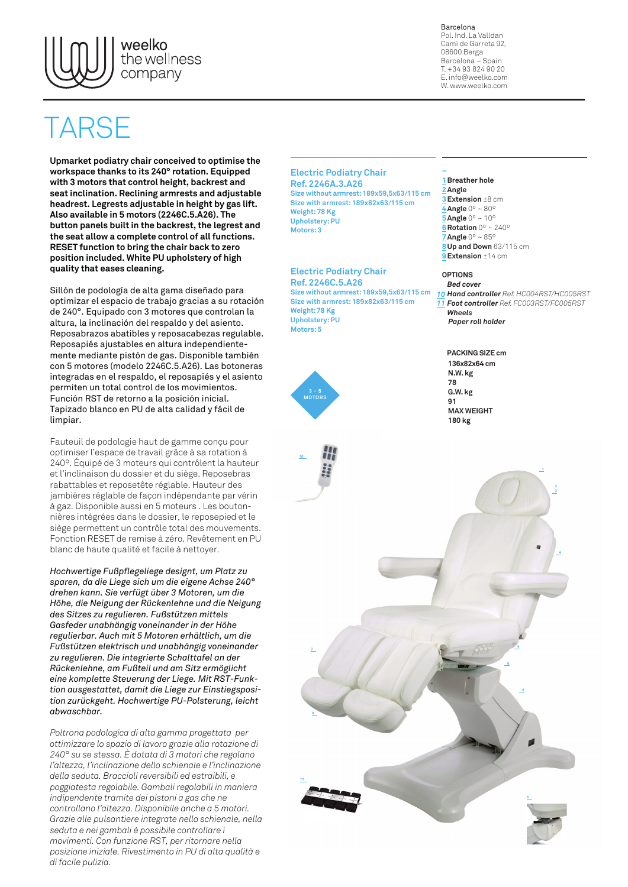

Barcelona Pol. Ind. La Valldan Camí de Garreta 92, 08600 Berga Barcelona – Spain T. +34 93 824 90 20 E. info@weelko.com W. www.weelko.com

## ARSI

**Upmarket podiatry chair conceived to optimise the workspace thanks to its 240° rotation. Equipped with 3 motors that control height, backrest and seat inclination. Reclining armrests and adjustable headrest. Legrests adjustable in height by gas lift. Also available in 5 motors (2246C.5.A26). The button panels built in the backrest, the legrest and the seat allow a complete control of all functions. RESET function to bring the chair back to zero position included. White PU upholstery of high quality that eases cleaning.**

Sillón de podología de alta gama diseñado para optimizar el espacio de trabajo gracias a su rotación de 240°. Equipado con 3 motores que controlan la altura, la inclinación del respaldo y del asiento. Reposabrazos abatibles y reposacabezas regulable. Reposapiés ajustables en altura independientemente mediante pistón de gas. Disponible también con 5 motores (modelo 2246C.5.A26). Las botoneras integradas en el respaldo, el reposapiés y el asiento permiten un total control de los movimientos. Función RST de retorno a la posición inicial. Tapizado blanco en PU de alta calidad y fácil de limpiar.

Fauteuil de podologie haut de gamme conçu pour optimiser l'espace de travail grâce à sa rotation à 240º. Équipé de 3 moteurs qui contrôlent la hauteur et l'inclinaison du dossier et du siège. Reposebras rabattables et reposetête réglable. Hauteur des jambières réglable de façon indépendante par vérin à gaz. Disponible aussi en 5 moteurs . Les boutonnières intégrées dans le dossier, le reposepied et le siège permettent un contrôle total des mouvements. Fonction RESET de remise à zéro. Revêtement en PU blanc de haute qualité et facile à nettoyer.

*Hochwertige Fußpflegeliege designt, um Platz zu sparen, da die Liege sich um die eigene Achse 240° drehen kann. Sie verfügt über 3 Motoren, um die Höhe, die Neigung der Rückenlehne und die Neigung des Sitzes zu regulieren. Fußstützen mittels Gasfeder unabhängig voneinander in der Höhe regulierbar. Auch mit 5 Motoren erhältlich, um die Fußstützen elektrisch und unabhängig voneinander zu regulieren. Die integrierte Schalttafel an der Rückenlehne, am Fußteil und am Sitz ermöglicht eine komplette Steuerung der Liege. Mit RST-Funktion ausgestattet, damit die Liege zur Einstiegsposition zurückgeht. Hochwertige PU-Polsterung, leicht abwaschbar.* 

*Poltrona podologica di alta gamma progettata per ottimizzare lo spazio di lavoro grazie alla rotazione di 240° su se stessa. È dotata di 3 motori che regolano l'altezza, l'inclinazione dello schienale e l'inclinazione della seduta. Braccioli reversibili ed estraibili, e poggiatesta regolabile. Gambali regolabili in maniera indipendente tramite dei pistoni a gas che ne controllano l'altezza. Disponibile anche a 5 motori. Grazie alle pulsantiere integrate nello schienale, nella seduta e nei gambali è possibile controllare i movimenti. Con funzione RST, per ritornare nella posizione iniziale. Rivestimento in PU di alta qualità e di facile pulizia.* 

**Electric Podiatry Chair Ref. 2246A.3.A26 Size without armrest: 189x59,5x63/115 cm Size with armrest: 189x82x63/115 cm Weight: 78 Kg Upholstery: PU Motors: 3**

**Electric Podiatry Chair Ref. 2246C.5.A26 Size without armrest: 189x59,5x63/115 cm Size with armrest: 189x82x63/115 cm Weight: 78 Kg Upholstery: PU Motors: 5**





## **– 1 Breather hole 2 Angle**

**3 Extension** ±8 cm **4 Angle** 0º ~ 80º **5 Angle** 0º ~ 10º **6 Rotation** 0º ~ 240º **7 Angle** 0º ~ 85º **8 Up and Down** 63/115 cm **9 Extension** ±14 cm

## **OPTIONS**

*Bed cover Hand controller Ref. HC004RST/HC005RST 10Foot controller Ref. FC003RST/FC005RST 11 Wheels Paper roll holder*

**136x82x64 cm N.W. kg 78 G.W. kg 91 MAX WEIGHT 180 kg PACKING SIZE cm**